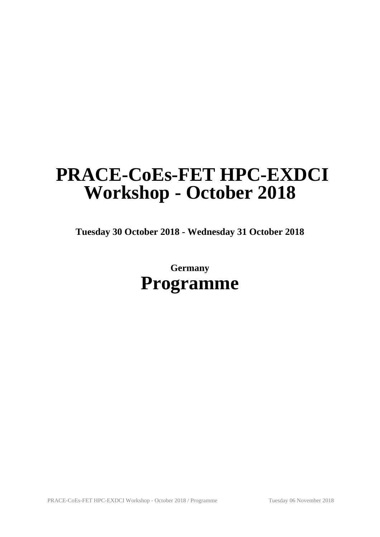# **PRACE-CoEs-FET HPC-EXDCI Workshop - October 2018**

**Tuesday 30 October 2018 - Wednesday 31 October 2018**

**Germany Programme**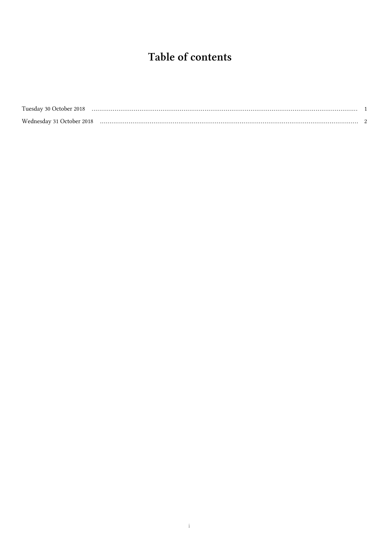# Table of contents

| Tuesday 30 October 2018   |  |
|---------------------------|--|
| Wednesday 31 October 2018 |  |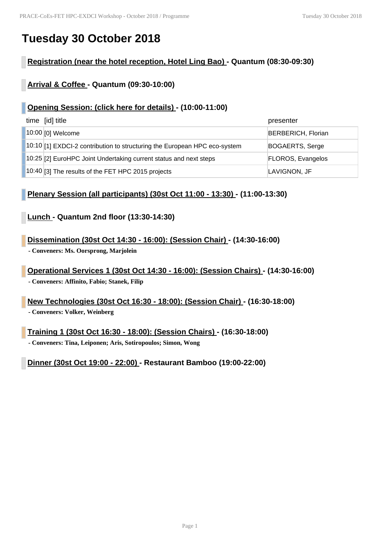### **Tuesday 30 October 2018**

#### **Registration (near the hotel reception, Hotel Ling Bao) - Quantum (08:30-09:30)**

#### **Arrival & Coffee - Quantum (09:30-10:00)**

#### **Opening Session: (click here for details) - (10:00-11:00)**

| time [id] title                                                           | presenter                 |
|---------------------------------------------------------------------------|---------------------------|
| 10:00 [0] Welcome                                                         | <b>BERBERICH, Florian</b> |
| 10:10 [1] EXDCI-2 contribution to structuring the European HPC eco-system | BOGAERTS, Serge           |
| 10:25 [2] EuroHPC Joint Undertaking current status and next steps         | FLOROS, Evangelos         |
| $ 10:40 $ [3] The results of the FET HPC 2015 projects                    | LAVIGNON, JF              |

#### **Plenary Session (all participants) (30st Oct 11:00 - 13:30) - (11:00-13:30)**

#### **Lunch - Quantum 2nd floor (13:30-14:30)**

**Dissemination (30st Oct 14:30 - 16:00): (Session Chair) - (14:30-16:00)**

**- Conveners: Ms. Oorsprong, Marjolein**

**Operational Services 1 (30st Oct 14:30 - 16:00): (Session Chairs) - (14:30-16:00) - Conveners: Affinito, Fabio; Stanek, Filip**

**New Technologies (30st Oct 16:30 - 18:00): (Session Chair) - (16:30-18:00) - Conveners: Volker, Weinberg**

**Training 1 (30st Oct 16:30 - 18:00): (Session Chairs) - (16:30-18:00) - Conveners: Tina, Leiponen; Aris, Sotiropoulos; Simon, Wong**

**Dinner (30st Oct 19:00 - 22:00) - Restaurant Bamboo (19:00-22:00)**